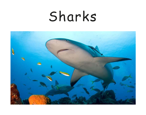# Sharks

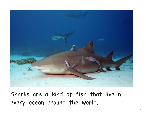

Sharks are a kind of fish that live in every ocean around the world.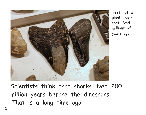

Teeth of a giant shark that lived millions of years ago.

Scientists think that sharks lived 200 million years before the dinosaurs. That is a long time ago!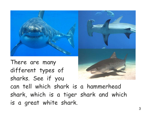

There are many different types of sharks. See if you can tell which shark is a hammerhead shark, which is a tiger shark and which is a great white shark.

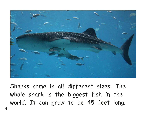

Sharks come in all different sizes. The whale shark is the biggest fish in the world. It can grow to be 45 feet long.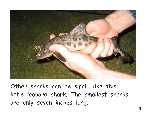

Other sharks can be small, like this little leopard shark. The smallest sharks are only seven inches long.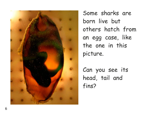

Some sharks are born live but others hatch from an egg case, like the one in this picture.

Can you see its head, tail and fins?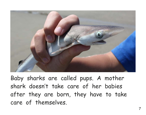

Baby sharks are called pups. A mother shark doesn't take care of her babies after they are born, they have to take care of themselves.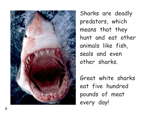

Sharks are deadly predators, which means that they hunt and eat other animals like fish, seals and even other sharks.

Great white sharks eat five hundred pounds of meat every day!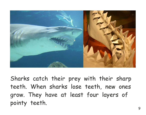

Sharks catch their prey with their sharp teeth. When sharks lose teeth, new ones grow. They have at least four layers of pointy teeth.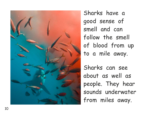

Sharks have a good sense of smell and can follow the smell of blood from up to a mile away.

Sharks can see about as well as people. They hear sounds underwater from miles away.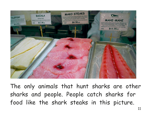

The only animals that hunt sharks are other sharks and people. People catch sharks for food like the shark steaks in this picture.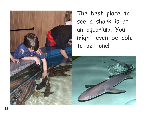

see a shark is at an aquarium. You might even be able to pet one!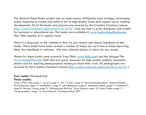The Mustard Seed Books project uses an open-source, Wikipedia-type strategy, leveraging public expertise to create and refine a set of high-quality books that support early reading development. All of the books and pictures are covered by the Creative Commons License (http://creativecommons.org/licenses/by-nc-sa/3.0/ ) and are free to print, distribute, and modify for personal or educational use. The books are available at www.mustardseedbooks.org. New titles appear on a regular basis.

There is a blog post on the website so that we can receive and discuss feedback on the books. These books have been revised a number of times, but we'd love to keep improving them. Any feedback is welcome. We also welcome photos or ideas for new books.

Photos for these books come primarily from Flickr (www.flickr.com) and the Morgue File (www.morguefile.com). Both sites are great resources for high-quality publicly accessible photos and for aspiring photographers looking to share their work. All photographs are covered by the Creative Commons License (http://creativecommons.org/licenses/by-nc-sa/3.0/ ).

#### **Text credits:** Elizabeth Kim

#### **Photo credits:**

Cover: Willy Volk; page 1, "g-na"; page 2: "Mr T in DC;" page 3: "hermanusbackpackers", Richard Dudley, David Biesack; page 4: "noodlefish"; page 5: Jake Bjeldanes; page 6: Stephanie Seskin; page 7: "LaMenta3"; page 8: Herman Young; page 9: "Albuquerque BioPark," Ryan Somma; page 10: Julian Cohen; page 11: "foodographer"; page 12: Anne Bennett, "birdofparadise1987"